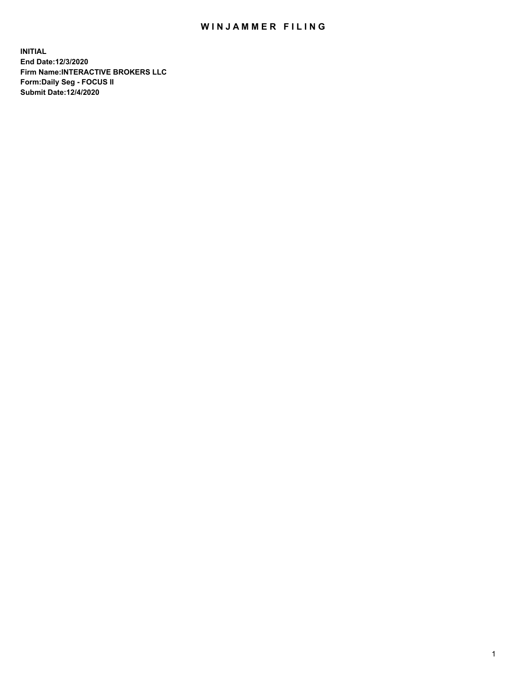## WIN JAMMER FILING

**INITIAL End Date:12/3/2020 Firm Name:INTERACTIVE BROKERS LLC Form:Daily Seg - FOCUS II Submit Date:12/4/2020**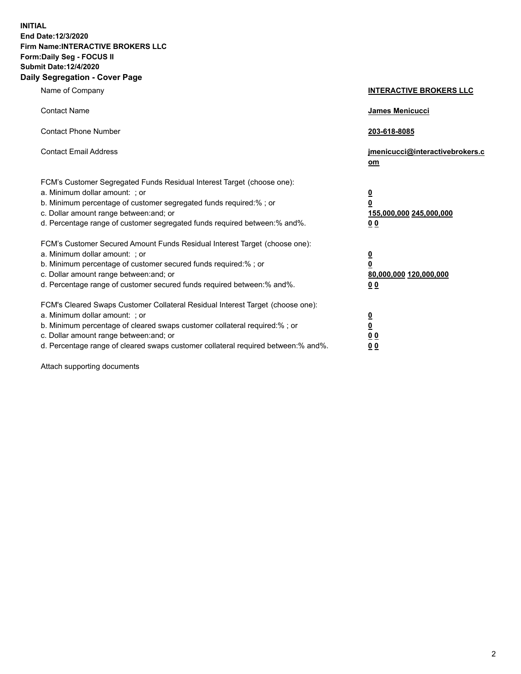**INITIAL End Date:12/3/2020 Firm Name:INTERACTIVE BROKERS LLC Form:Daily Seg - FOCUS II Submit Date:12/4/2020 Daily Segregation - Cover Page**

| Name of Company                                                                                                                                                                                                                                                                                                                | <b>INTERACTIVE BROKERS LLC</b>                                                   |  |
|--------------------------------------------------------------------------------------------------------------------------------------------------------------------------------------------------------------------------------------------------------------------------------------------------------------------------------|----------------------------------------------------------------------------------|--|
| <b>Contact Name</b>                                                                                                                                                                                                                                                                                                            | James Menicucci                                                                  |  |
| <b>Contact Phone Number</b>                                                                                                                                                                                                                                                                                                    | 203-618-8085                                                                     |  |
| <b>Contact Email Address</b>                                                                                                                                                                                                                                                                                                   | jmenicucci@interactivebrokers.c<br>om                                            |  |
| FCM's Customer Segregated Funds Residual Interest Target (choose one):<br>a. Minimum dollar amount: ; or<br>b. Minimum percentage of customer segregated funds required:% ; or<br>c. Dollar amount range between: and; or<br>d. Percentage range of customer segregated funds required between:% and%.                         | <u>0</u><br>$\overline{\mathbf{0}}$<br>155,000,000 245,000,000<br>0 <sub>0</sub> |  |
| FCM's Customer Secured Amount Funds Residual Interest Target (choose one):<br>a. Minimum dollar amount: ; or<br>b. Minimum percentage of customer secured funds required:% ; or<br>c. Dollar amount range between: and; or<br>d. Percentage range of customer secured funds required between:% and%.                           | <u>0</u><br>$\overline{\mathbf{0}}$<br>80,000,000 120,000,000<br>0 <sub>0</sub>  |  |
| FCM's Cleared Swaps Customer Collateral Residual Interest Target (choose one):<br>a. Minimum dollar amount: ; or<br>b. Minimum percentage of cleared swaps customer collateral required:% ; or<br>c. Dollar amount range between: and; or<br>d. Percentage range of cleared swaps customer collateral required between:% and%. | <u>0</u><br>$\underline{\mathbf{0}}$<br>0 <sub>0</sub><br>0 <sub>0</sub>         |  |

Attach supporting documents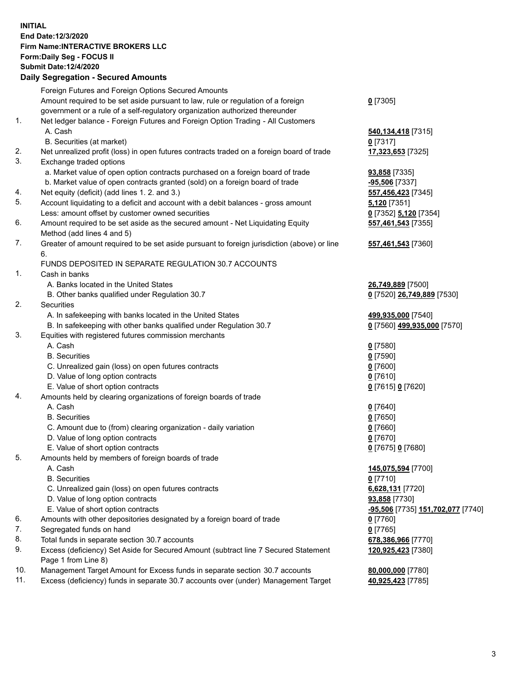**INITIAL End Date:12/3/2020 Firm Name:INTERACTIVE BROKERS LLC Form:Daily Seg - FOCUS II Submit Date:12/4/2020 Daily Segregation - Secured Amounts**

## Foreign Futures and Foreign Options Secured Amounts Amount required to be set aside pursuant to law, rule or regulation of a foreign government or a rule of a self-regulatory organization authorized thereunder **0** [7305] 1. Net ledger balance - Foreign Futures and Foreign Option Trading - All Customers A. Cash **540,134,418** [7315] B. Securities (at market) **0** [7317] 2. Net unrealized profit (loss) in open futures contracts traded on a foreign board of trade **17,323,653** [7325] 3. Exchange traded options a. Market value of open option contracts purchased on a foreign board of trade **93,858** [7335] b. Market value of open contracts granted (sold) on a foreign board of trade **-95,506** [7337] 4. Net equity (deficit) (add lines 1. 2. and 3.) **557,456,423** [7345] 5. Account liquidating to a deficit and account with a debit balances - gross amount **5,120** [7351] Less: amount offset by customer owned securities **0** [7352] **5,120** [7354] 6. Amount required to be set aside as the secured amount - Net Liquidating Equity Method (add lines 4 and 5) **557,461,543** [7355] 7. Greater of amount required to be set aside pursuant to foreign jurisdiction (above) or line 6. **557,461,543** [7360] FUNDS DEPOSITED IN SEPARATE REGULATION 30.7 ACCOUNTS 1. Cash in banks A. Banks located in the United States **26,749,889** [7500] B. Other banks qualified under Regulation 30.7 **0** [7520] **26,749,889** [7530] 2. Securities A. In safekeeping with banks located in the United States **499,935,000** [7540] B. In safekeeping with other banks qualified under Regulation 30.7 **0** [7560] **499,935,000** [7570] 3. Equities with registered futures commission merchants A. Cash **0** [7580] B. Securities **0** [7590] C. Unrealized gain (loss) on open futures contracts **0** [7600] D. Value of long option contracts **0** [7610] E. Value of short option contracts **0** [7615] **0** [7620] 4. Amounts held by clearing organizations of foreign boards of trade A. Cash **0** [7640] B. Securities **0** [7650] C. Amount due to (from) clearing organization - daily variation **0** [7660] D. Value of long option contracts **0** [7670] E. Value of short option contracts **0** [7675] **0** [7680] 5. Amounts held by members of foreign boards of trade A. Cash **145,075,594** [7700] B. Securities **0** [7710] C. Unrealized gain (loss) on open futures contracts **6,628,131** [7720] D. Value of long option contracts **93,858** [7730] E. Value of short option contracts **-95,506** [7735] **151,702,077** [7740] 6. Amounts with other depositories designated by a foreign board of trade **0** [7760] 7. Segregated funds on hand **0** [7765] 8. Total funds in separate section 30.7 accounts **678,386,966** [7770] 9. Excess (deficiency) Set Aside for Secured Amount (subtract line 7 Secured Statement Page 1 from Line 8) **120,925,423** [7380] 10. Management Target Amount for Excess funds in separate section 30.7 accounts **80,000,000** [7780] 11. Excess (deficiency) funds in separate 30.7 accounts over (under) Management Target **40,925,423** [7785]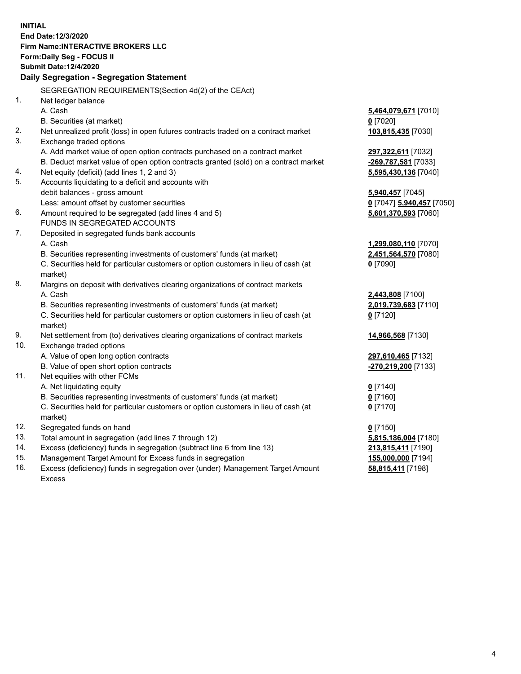**INITIAL End Date:12/3/2020 Firm Name:INTERACTIVE BROKERS LLC Form:Daily Seg - FOCUS II Submit Date:12/4/2020 Daily Segregation - Segregation Statement** SEGREGATION REQUIREMENTS(Section 4d(2) of the CEAct) 1. Net ledger balance A. Cash **5,464,079,671** [7010] B. Securities (at market) **0** [7020] 2. Net unrealized profit (loss) in open futures contracts traded on a contract market **103,815,435** [7030] 3. Exchange traded options A. Add market value of open option contracts purchased on a contract market **297,322,611** [7032] B. Deduct market value of open option contracts granted (sold) on a contract market **-269,787,581** [7033] 4. Net equity (deficit) (add lines 1, 2 and 3) **5,595,430,136** [7040] 5. Accounts liquidating to a deficit and accounts with debit balances - gross amount **5,940,457** [7045] Less: amount offset by customer securities **0** [7047] **5,940,457** [7050] 6. Amount required to be segregated (add lines 4 and 5) **5,601,370,593** [7060] FUNDS IN SEGREGATED ACCOUNTS 7. Deposited in segregated funds bank accounts A. Cash **1,299,080,110** [7070] B. Securities representing investments of customers' funds (at market) **2,451,564,570** [7080] C. Securities held for particular customers or option customers in lieu of cash (at market) **0** [7090] 8. Margins on deposit with derivatives clearing organizations of contract markets A. Cash **2,443,808** [7100] B. Securities representing investments of customers' funds (at market) **2,019,739,683** [7110] C. Securities held for particular customers or option customers in lieu of cash (at market) **0** [7120] 9. Net settlement from (to) derivatives clearing organizations of contract markets **14,966,568** [7130] 10. Exchange traded options A. Value of open long option contracts **297,610,465** [7132] B. Value of open short option contracts **-270,219,200** [7133] 11. Net equities with other FCMs A. Net liquidating equity **0** [7140] B. Securities representing investments of customers' funds (at market) **0** [7160] C. Securities held for particular customers or option customers in lieu of cash (at market) **0** [7170] 12. Segregated funds on hand **0** [7150] 13. Total amount in segregation (add lines 7 through 12) **5,815,186,004** [7180] 14. Excess (deficiency) funds in segregation (subtract line 6 from line 13) **213,815,411** [7190] 15. Management Target Amount for Excess funds in segregation **155,000,000** [7194]

16. Excess (deficiency) funds in segregation over (under) Management Target Amount Excess

**58,815,411** [7198]